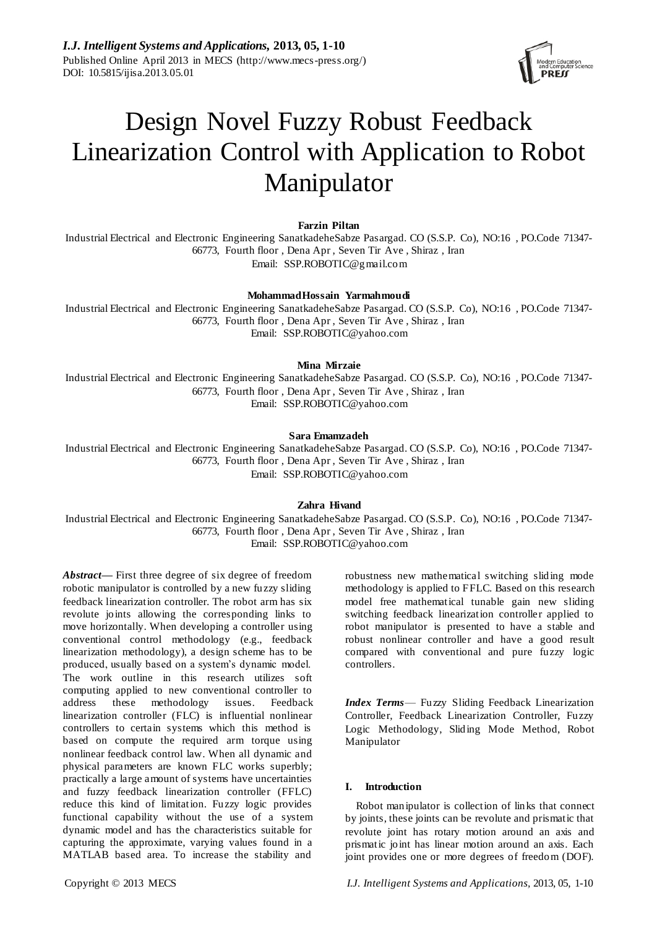

# Design Novel Fuzzy Robust Feedback Linearization Control with Application to Robot Manipulator

**Farzin Piltan**

Industrial Electrical and Electronic Engineering SanatkadeheSabze Pasargad. CO (S.S.P. Co), NO:16 , PO.Code 71347- 66773, Fourth floor , Dena Apr , Seven Tir Ave , Shiraz , Iran Email: SSP.ROBOTIC@gmail.com

## **MohammadHossain Yarmahmoudi**

Industrial Electrical and Electronic Engineering SanatkadeheSabze Pasargad. CO (S.S.P. Co), NO:16 , PO.Code 71347- 66773, Fourth floor , Dena Apr , Seven Tir Ave , Shiraz , Iran Email: [SSP.ROBOTIC@yahoo.com](mailto:SSP.ROBOTIC@yahoo.com)

## **Mina Mirzaie**

Industrial Electrical and Electronic Engineering SanatkadeheSabze Pasargad. CO (S.S.P. Co), NO:16 , PO.Code 71347- 66773, Fourth floor , Dena Apr , Seven Tir Ave , Shiraz , Iran Email: [SSP.ROBOTIC@yahoo.com](mailto:SSP.ROBOTIC@yahoo.com)

# **Sara Emamzadeh**

Industrial Electrical and Electronic Engineering SanatkadeheSabze Pasargad. CO (S.S.P. Co), NO:16 , PO.Code 71347- 66773, Fourth floor , Dena Apr , Seven Tir Ave , Shiraz , Iran Email: SSP.ROBOTIC@yahoo.com

# **Zahra Hivand**

Industrial Electrical and Electronic Engineering SanatkadeheSabze Pasargad. CO (S.S.P. Co), NO:16 , PO.Code 71347- 66773, Fourth floor , Dena Apr , Seven Tir Ave , Shiraz , Iran Email: SSP.ROBOTIC@yahoo.com

*Abstract***—** First three degree of six degree of freedom robotic manipulator is controlled by a new fuzzy sliding feedback linearization controller. The robot arm has six revolute joints allowing the corresponding links to move horizontally. When developing a controller using conventional control methodology (e.g., feedback linearization methodology), a design scheme has to be produced, usually based on a system's dynamic model. The work outline in this research utilizes soft computing applied to new conventional controller to address these methodology issues. Feedback linearization controller (FLC) is influential nonlinear controllers to certain systems which this method is based on compute the required arm torque using nonlinear feedback control law. When all dynamic and physical parameters are known FLC works superbly; practically a large amount of systems have uncertainties and fuzzy feedback linearization controller (FFLC) reduce this kind of limitation. Fuzzy logic provides functional capability without the use of a system dynamic model and has the characteristics suitable for capturing the approximate, varying values found in a MATLAB based area. To increase the stability and

robustness new mathematical switching sliding mode methodology is applied to FFLC. Based on this research model free mathematical tunable gain new sliding switching feedback linearization controller applied to robot manipulator is presented to have a stable and robust nonlinear controller and have a good result compared with conventional and pure fuzzy logic controllers.

*Index Terms*— Fuzzy Sliding Feedback Linearization Controller, Feedback Linearization Controller, Fuzzy Logic Methodology, Sliding Mode Method, Robot Manipulator

## **I. Introduction**

Robot manipulator is collection of links that connect by joints, these joints can be revolute and prismatic that revolute joint has rotary motion around an axis and prismatic joint has linear motion around an axis. Each joint provides one or more degrees of freedom (DOF).

Copyright © 2013 MECS *I.J. Intelligent Systems and Applications,* 2013, 05, 1-10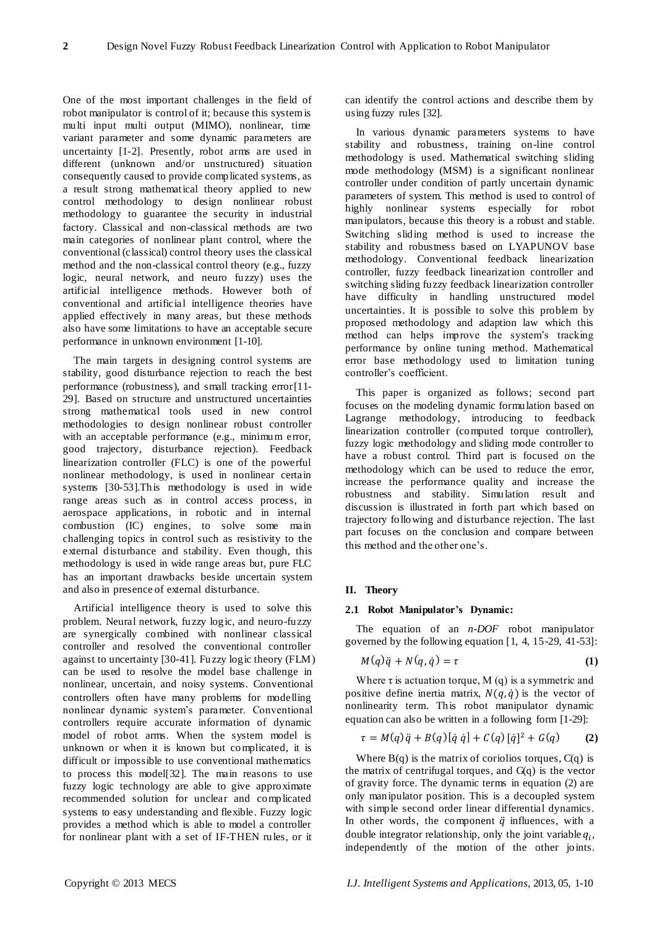One of the most important challenges in the field of robot manipulator is control of it; because this system is multi input multi output (MIMO), nonlinear, time variant parameter and some dynamic parameters are uncertainty [1-2]. Presently, robot arms are used in different (unknown and/or unstructured) situation consequently caused to provide complicated systems, as a result strong mathematical theory applied to new control methodology to design nonlinear robust methodology to guarantee the security in industrial factory. Classical and non-classical methods are two main categories of nonlinear plant control, where the conventional (classical) control theory uses the classical method and the non-classical control theory (e.g., fuzzy logic, neural network, and neuro fuzzy) uses the artificial intelligence methods. However both of conventional and artificial intelligence theories have applied effectively in many areas, but these methods also have some limitations to have an acceptable secure performance in unknown environment [1-10].

The main targets in designing control systems are stability, good disturbance rejection to reach the best performance (robustness), and small tracking error[11- 29]. Based on structure and unstructured uncertainties strong mathematical tools used in new control methodologies to design nonlinear robust controller with an acceptable performance (e.g., minimum error, good trajectory, disturbance rejection). Feedback linearization controller (FLC) is one of the powerful nonlinear methodology, is used in nonlinear certain systems [30-53].This methodology is used in wide range areas such as in control access process, in aerospace applications, in robotic and in internal combustion (IC) engines, to solve some main challenging topics in control such as resistivity to the external disturbance and stability. Even though, this methodology is used in wide range areas but, pure FLC has an important drawbacks beside uncertain system and also in presence of external disturbance.

Artificial intelligence theory is used to solve this problem. Neural network, fuzzy logic, and neuro-fuzzy are synergically combined with nonlinear classical controller and resolved the conventional controller against to uncertainty [30-41]. Fuzzy logic theory (FLM) can be used to resolve the model base challenge in nonlinear, uncertain, and noisy systems. Conventional controllers often have many problems for modelling nonlinear dynamic system's parameter. Conventional controllers require accurate information of dynamic model of robot arms. When the system model is unknown or when it is known but complicated, it is difficult or impossible to use conventional mathematics to process this model[32]. The main reasons to use fuzzy logic technology are able to give approximate recommended solution for unclear and complicated systems to easy understanding and flexible. Fuzzy logic provides a method which is able to model a controller for nonlinear plant with a set of IF-THEN rules, or it

can identify the control actions and describe them by using fuzzy rules [32].

In various dynamic parameters systems to have stability and robustness, training on-line control methodology is used. Mathematical switching sliding mode methodology (MSM) is a significant nonlinear controller under condition of partly uncertain dynamic parameters of system. This method is used to control of highly nonlinear systems especially for robot manipulators, because this theory is a robust and stable. Switching sliding method is used to increase the stability and robustness based on LYAPUNOV base methodology. Conventional feedback linearization controller, fuzzy feedback linearization controller and switching sliding fuzzy feedback linearization controller have difficulty in handling unstructured model uncertainties. It is possible to solve this problem by proposed methodology and adaption law which this method can helps improve the system's tracking performance by online tuning method. Mathematical error base methodology used to limitation tuning controller's coefficient.

This paper is organized as follows; second part focuses on the modeling dynamic formulation based on Lagrange methodology, introducing to feedback linearization controller (computed torque controller), fuzzy logic methodology and sliding mode controller to have a robust control. Third part is focused on the methodology which can be used to reduce the error, increase the performance quality and increase the robustness and stability. Simulation result and discussion is illustrated in forth part which based on trajectory following and disturbance rejection. The last part focuses on the conclusion and compare between this method and the other one's.

## **II. Theory**

## **2.1 Robot Manipulator's Dynamic:**

The equation of an *n-DOF* robot manipulator governed by the following equation [1, 4, 15-29, 41-53]:

$$
M(q)\ddot{q} + N(q, \dot{q}) = \tau \tag{1}
$$

Where  $\tau$  is actuation torque, M (q) is a symmetric and positive define inertia matrix,  $N(q, \dot{q})$  is the vector of nonlinearity term. This robot manipulator dynamic equation can also be written in a following form [1-29]:

$$
\tau = M(q)\ddot{q} + B(q)[\dot{q}\dot{q}] + C(q)[\dot{q}]^{2} + G(q) \tag{2}
$$

Where  $B(q)$  is the matrix of coriolios torques,  $C(q)$  is the matrix of centrifugal torques, and  $G(q)$  is the vector of gravity force. The dynamic terms in equation (2) are only manipulator position. This is a decoupled system with simple second order linear differential dynamics. In other words, the component  $\ddot{q}$  influences, with a double integrator relationship, only the joint variable  $q_i$ , independently of the motion of the other joints.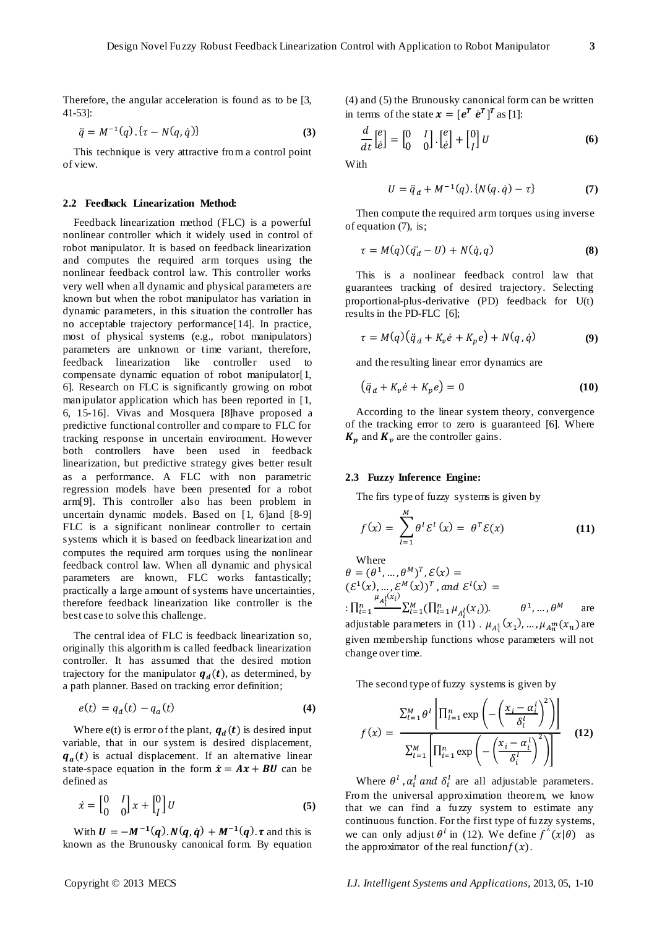Therefore, the angular acceleration is found as to be [3, 41-53]:

$$
\ddot{q} = M^{-1}(q) \cdot \{ \tau - N(q, \dot{q}) \}
$$
 (3)

This technique is very attractive from a control point of view.

#### **2.2 Feedback Linearization Method:**

Feedback linearization method (FLC) is a powerful nonlinear controller which it widely used in control of robot manipulator. It is based on feedback linearization and computes the required arm torques using the nonlinear feedback control law. This controller works very well when all dynamic and physical parameters are known but when the robot manipulator has variation in dynamic parameters, in this situation the controller has no acceptable trajectory performance[14]. In practice, most of physical systems (e.g., robot manipulators) parameters are unknown or time variant, therefore, feedback linearization like controller used to compensate dynamic equation of robot manipulator[1, 6]. Research on FLC is significantly growing on robot manipulator application which has been reported in [1, 6, 15-16]. Vivas and Mosquera [8]have proposed a predictive functional controller and compare to FLC for tracking response in uncertain environment. However both controllers have been used in feedback linearization, but predictive strategy gives better result as a performance. A FLC with non parametric regression models have been presented for a robot arm[9]. This controller also has been problem in uncertain dynamic models. Based on [1, 6]and [8-9] FLC is a significant nonlinear controller to certain systems which it is based on feedback linearization and computes the required arm torques using the nonlinear feedback control law. When all dynamic and physical parameters are known, FLC works fantastically; practically a large amount of systems have uncertainties, therefore feedback linearization like controller is the best case to solve this challenge.

The central idea of FLC is feedback linearization so, originally this algorithm is called feedback linearization controller. It has assumed that the desired motion trajectory for the manipulator  $q_d(t)$ , as determined, by a path planner. Based on tracking error definition;

$$
e(t) = q_d(t) - q_a(t) \tag{4}
$$

Where  $e(t)$  is error of the plant,  $q_d(t)$  is desired input variable, that in our system is desired displacement,  $q_a(t)$  is actual displacement. If an alternative linear state-space equation in the form  $\dot{x} = Ax + BU$  can be defined as

$$
\dot{x} = \begin{bmatrix} 0 & I \\ 0 & 0 \end{bmatrix} x + \begin{bmatrix} 0 \\ I \end{bmatrix} U \tag{5}
$$

With  $\mathbf{U} = -\mathbf{M}^{-1}(\mathbf{q})$ .  $N(\mathbf{q}, \dot{\mathbf{q}}) + \mathbf{M}^{-1}(\mathbf{q})$ .  $\tau$  and this is known as the Brunousky canonical form. By equation (4) and (5) the Brunousky canonical form can be written in terms of the state  $\mathbf{x} = [\mathbf{e}^T \ \mathbf{e}^T]^T$  as [1]:

$$
\frac{d}{dt} \begin{bmatrix} e \\ \dot{e} \end{bmatrix} = \begin{bmatrix} 0 & I \\ 0 & 0 \end{bmatrix} \cdot \begin{bmatrix} e \\ \dot{e} \end{bmatrix} + \begin{bmatrix} 0 \\ I \end{bmatrix} U \tag{6}
$$

With

$$
U = \ddot{q}_d + M^{-1}(q) \cdot \{ N(q, \dot{q}) - \tau \}
$$
 (7)

Then compute the required arm torques using inverse of equation (7), is;

$$
\tau = M(q)(\dot{q}_d - U) + N(\dot{q}, q) \tag{8}
$$

This is a nonlinear feedback control law that guarantees tracking of desired trajectory. Selecting proportional-plus-derivative (PD) feedback for U(t) results in the PD-FLC [6];

$$
\tau = M(q)\left(\ddot{q}_d + K_v \dot{e} + K_p e\right) + N(q, \dot{q})\tag{9}
$$

and the resulting linear error dynamics are

$$
\left(\ddot{q}_d + K_v \dot{e} + K_p e\right) = 0\tag{10}
$$

According to the linear system theory, convergence of the tracking error to zero is guaranteed [6]. Where  $K_p$  and  $K_p$  are the controller gains.

#### **2.3 Fuzzy Inference Engine:**

The firs type of fuzzy systems is given by

$$
f(x) = \sum_{l=1}^{M} \theta^l \mathcal{E}^l(x) = \theta^T \mathcal{E}(x)
$$
 (11)

Where  $\theta = (\theta^1, ..., \theta^M)^T, \mathcal{E}(x) =$  $(\mathcal{E}^1(x), ..., \mathcal{E}^M(x))^T$ , and  $\mathcal{E}^l(x)$  =  $\cdot \prod_{i=1}^{n} \frac{\mu_{A_i^l}(x_i)}{x_i}$  $\frac{n}{i=1} \frac{A_i}{\sqrt{1-\sum_{l=1}^M (\prod_{i=1}^n \mu_{A_i^l}(x_i))}}$   $\theta^1, ..., \theta^M$  are adjustable parameters in (11).  $\mu_{A}$ ,  $(x_1)$ , ...,  $\mu_{A}$ <sub>m</sub> $(x_n)$  are given membership functions whose parameters will not change over time.

The second type of fuzzy systems is given by

$$
f(x) = \frac{\sum_{l=1}^{M} \theta^{l} \left[ \prod_{i=1}^{n} \exp \left( -\left( \frac{x_{i} - \alpha_{i}^{l}}{\delta_{i}^{l}} \right)^{2} \right) \right]}{\sum_{l=1}^{M} \left[ \prod_{i=1}^{n} \exp \left( -\left( \frac{x_{i} - \alpha_{i}^{l}}{\delta_{i}^{l}} \right)^{2} \right) \right]}
$$
(12)

Where  $\theta^l$ ,  $\alpha_i^l$  and  $\delta_i^l$  are all adjustable parameters. From the universal approximation theorem, we know that we can find a fuzzy system to estimate any continuous function. For the first type of fuzzy systems, we can only adjust  $\theta^l$  in (12). We define  $f'(x|\theta)$  as the approximator of the real function  $f(x)$ .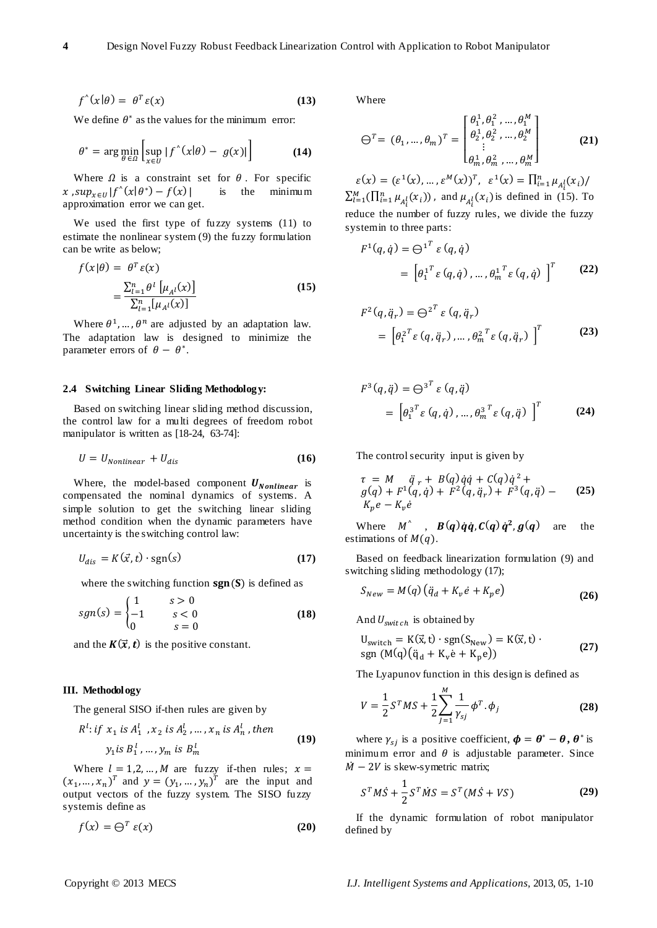$$
f^{\wedge}(x|\theta) = \theta^T \varepsilon(x) \tag{13}
$$

We define  $\theta^*$  as the values for the minimum error:

$$
\theta^* = \arg\min_{\theta \in \Omega} \left[ \sup_{x \in U} |f(x \cap \theta) - g(x)| \right] \tag{14}
$$

Where  $\Omega$  is a constraint set for  $\theta$ . For specific x,  $sup_{x \in U} |f'(x|\theta^*) - f(x)|$  is the minimum approximation error we can get.

We used the first type of fuzzy systems (11) to estimate the nonlinear system (9) the fuzzy formulation can be write as below;

$$
f(x|\theta) = \theta^T \varepsilon(x)
$$
  
= 
$$
\frac{\sum_{l=1}^n \theta^l [\mu_{A^l}(x)]}{\sum_{l=1}^n [\mu_{A^l}(x)]}
$$
 (15)

Where  $\theta^1$ , ...,  $\theta^n$  are adjusted by an adaptation law. The adaptation law is designed to minimize the parameter errors of  $\theta - \theta^*$ .

## **2.4 Switching Linear Sliding Methodology:**

Based on switching linear sliding method discussion, the control law for a multi degrees of freedom robot manipulator is written as [18-24, 63-74]:

$$
U = U_{Nonlinear} + U_{dis}
$$
 (16)

Where, the model-based component  $U_{Nonlinear}$  is compensated the nominal dynamics of systems. A simple solution to get the switching linear sliding method condition when the dynamic parameters have uncertainty is the switching control law:

$$
U_{dis} = K(\vec{x}, t) \cdot \text{sgn}(s) \tag{17}
$$

where the switching function  $sgn(S)$  is defined as

$$
sgn(s) = \begin{cases} 1 & s > 0 \\ -1 & s < 0 \\ 0 & s = 0 \end{cases}
$$
 (18)

and the  $K(\vec{x}, t)$  is the positive constant.

#### **III. Methodology**

The general SISO if-then rules are given by

$$
R^{l}: if x_1 is A_1^{l}, x_2 is A_2^{l}, ..., x_n is A_n^{l}, then
$$
  

$$
y_1 is B_1^{l}, ..., y_m is B_m^{l}
$$
 (19)

Where  $l = 1, 2, ..., M$  are fuzzy if-then rules;  $x =$  $(x_1, \dots, x_n)^T$  and  $y = (y_1, \dots, y_n)^T$  are the input and output vectors of the fuzzy system. The SISO fuzzy system is define as

$$
f(x) = \bigoplus^{T} \varepsilon(x) \tag{20}
$$

Where

$$
\Theta^{T} = (\theta_{1}, ..., \theta_{m})^{T} = \begin{bmatrix} \theta_{1}^{1}, \theta_{1}^{2}, ..., \theta_{1}^{M} \\ \theta_{2}^{1}, \theta_{2}^{2}, ..., \theta_{2}^{M} \\ \vdots \\ \theta_{m}^{1}, \theta_{m}^{2}, ..., \theta_{m}^{M} \end{bmatrix}
$$
(21)

 $\varepsilon(x) = (\varepsilon^1(x), \dots, \varepsilon^M(x))^T, \quad \varepsilon^1(x) = \prod_{i=1}^n \mu_{A_i^i}(x_i)$  $\sum_{l=1}^{M} (\prod_{i=1}^{n} \mu_{A_i^l}(x_i))$ , and  $\mu_{A_i^l}(x_i)$  is defined in (15). To reduce the number of fuzzy rules, we divide the fuzzy system in to three parts:

$$
F^{1}(q, \dot{q}) = \Theta^{1^{T}} \varepsilon (q, \dot{q})
$$
  
= 
$$
\left[\theta_{1}^{1^{T}} \varepsilon (q, \dot{q}), \ldots, \theta_{m}^{1^{T}} \varepsilon (q, \dot{q})\right]^{T}
$$
 (22)

$$
F^{2}(q, \ddot{q}_{r}) = \Theta^{2^{T}} \varepsilon (q, \ddot{q}_{r})
$$
  
= 
$$
\left[\theta_{1}^{2^{T}} \varepsilon (q, \ddot{q}_{r}), \ldots, \theta_{m}^{2^{T}} \varepsilon (q, \ddot{q}_{r})\right]^{T}
$$
 (23)

$$
F^{3}(q, \ddot{q}) = \Theta^{3^{T}} \varepsilon (q, \ddot{q})
$$
  
= 
$$
\left[\theta_{1}^{3^{T}} \varepsilon (q, \dot{q}), \ldots, \theta_{m}^{3^{T}} \varepsilon (q, \ddot{q})\right]^{T}
$$
 (24)

The control security input is given by

$$
\tau = M \ddot{q}_r + B(q)\dot{q}\dot{q} + C(q)\dot{q}^2 + g(q) + F^1(q, \dot{q}) + F^2(q, \ddot{q}_r) + F^3(q, \ddot{q}) - (25) K_p e - K_v \dot{e}
$$

Where  $M^{\wedge}$ ,  $B(q)\dot{q}\dot{q}$ ,  $C(q)\dot{q}^{2}$ ,  $g(q)$  are the estimations of  $M(q)$ .

Based on feedback linearization formulation (9) and switching sliding methodology  $(17)$ ;

$$
S_{New} = M(q) \left( \ddot{q}_d + K_v \dot{e} + K_p e \right)
$$
 (26)

And  $U_{switch}$  is obtained by

$$
Uswitch = K(\vec{x}, t) \cdot sgn(SNew) = K(\vec{x}, t) \cdot sgn(M(q)(\ddot{q}_d + K_v \dot{e} + K_p e))
$$
\n(27)

The Lyapunov function in this design is defined as

$$
V = \frac{1}{2} S^{T} M S + \frac{1}{2} \sum_{j=1}^{M} \frac{1}{\gamma_{sj}} \phi^{T} . \phi_{j}
$$
 (28)

where  $\gamma_{si}$  is a positive coefficient,  $\phi = \theta^* - \theta$ ,  $\theta^*$  is minimum error and  $\theta$  is adjustable parameter. Since  $\dot{M}$  – 2V is skew-symetric matrix;

$$
STMS + \frac{1}{2}STMS = ST(MS + VS)
$$
 (29)

If the dynamic formulation of robot manipulator defined by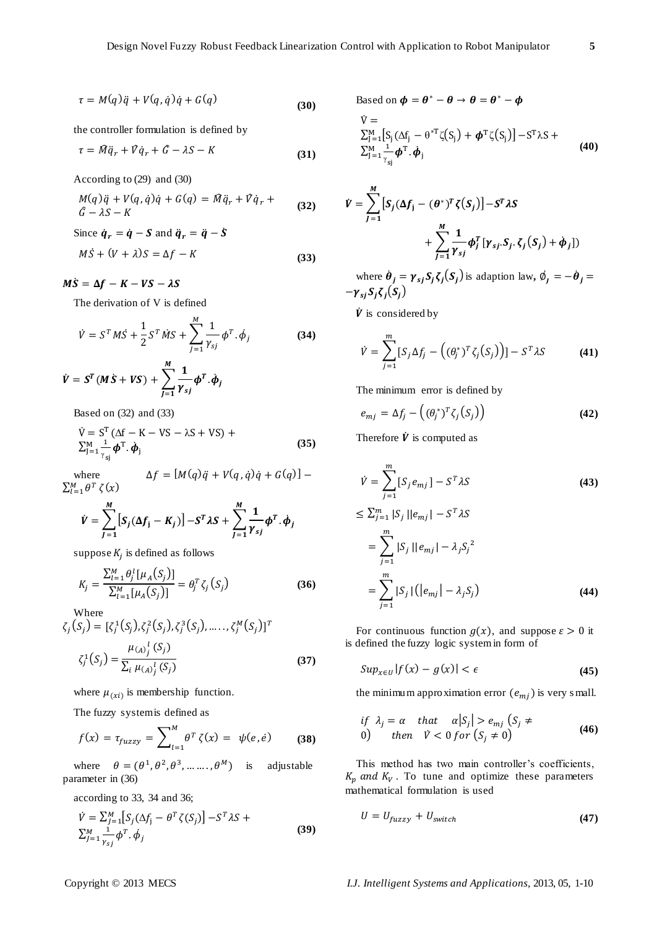$$
\tau = M(q)\ddot{q} + V(q, \dot{q})\dot{q} + G(q) \tag{30}
$$

the controller formulation is defined by

$$
\tau = \hat{M}\ddot{q}_r + \hat{V}\dot{q}_r + \hat{G} - \lambda S - K \tag{31}
$$

According to (29) and (30)

$$
M(q)\ddot{q} + V(q, \dot{q})\dot{q} + G(q) = \hat{M}\ddot{q}_r + \hat{V}\dot{q}_r +
$$
  

$$
\hat{G} - \lambda S - K
$$
 (32)

Since 
$$
\dot{q}_r = \dot{q} - S
$$
 and  $\ddot{q}_r = \ddot{q} - S$   
\n
$$
M\dot{S} + (V + \lambda)S = \Delta f - K
$$
\n(33)

 $MS = \Delta f - K - VS - \lambda S$ 

The derivation of V is defined

$$
\dot{V} = S^{T}M\dot{S} + \frac{1}{2}S^{T}\dot{M}S + \sum_{j=1}^{M} \frac{1}{\gamma_{sj}} \phi^{T} \cdot \phi_{j}
$$
(34)  

$$
\dot{V} = S^{T}(M\dot{S} + VS) + \sum_{j=1}^{M} \frac{1}{\gamma_{sj}} \phi^{T} \cdot \dot{\phi}_{j}
$$

Based on (32) and (33)

$$
\dot{V} = S^{T} (\Delta f - K - VS - \lambda S + VS) + \sum_{j=1}^{M} \frac{1}{\gamma_{sj}} \boldsymbol{\phi}^{T} \cdot \boldsymbol{\phi}_{j}
$$
\n(35)

where  $\Delta f = [M(q)\ddot{q} + V(q, \dot{q})\dot{q} + G(q)] \sum_{l=1}^{M} \theta^{T} \zeta(x)$ 

$$
\dot{V} = \sum_{j=1}^{M} \left[ S_j (\Delta f_j - K_j) \right] - S^T \lambda S + \sum_{j=1}^{M} \frac{1}{\gamma_{sj}} \phi^T \cdot \phi_j
$$

suppose  $K_i$  is defined as follows

$$
K_j = \frac{\sum_{l=1}^{M} \theta_j^l [\mu_A(S_j)]}{\sum_{l=1}^{M} [\mu_A(S_j)]} = \theta_j^T \zeta_j(S_j)
$$
(36)

Where  $\zeta_i(S_i) = [\zeta_i^1(S_i), \zeta_i^2(S_i), \zeta_i^3(S_i), \dots, \zeta_i^M(S_i)]^T$ 

$$
\zeta_j^1(S_j) = \frac{\mu_{(\Delta_j^1)}^1(S_j)}{\sum_i \mu_{(\Delta_j^1)}^1(S_j)}
$$
(37)

where  $\mu_{(xi)}$  is membership function.

The fuzzy system is defined as

$$
f(x) = \tau_{fuzzy} = \sum_{l=1}^{M} \theta^{T} \zeta(x) = \psi(e, e)
$$
 (38)

where  $\theta = (\theta^1, \theta^2, \theta^3)$ , adjustable parameter in (36)

according to 33, 34 and 36;

$$
\dot{V} = \sum_{j=1}^{M} \left[ S_j (\Delta f_j - \theta^T \zeta(S_j)) \right] - S^T \lambda S +
$$
  

$$
\sum_{j=1}^{M} \frac{1}{\gamma_{sj}} \phi^T \cdot \phi_j
$$
 (39)

Based on 
$$
\boldsymbol{\phi} = \boldsymbol{\theta}^* - \boldsymbol{\theta} \rightarrow \boldsymbol{\theta} = \boldsymbol{\theta}^* - \boldsymbol{\phi}
$$
  
\n
$$
\dot{V} = \sum_{j=1}^{M} [S_j (\Delta f_j - \theta^{*T} \zeta(S_j) + \boldsymbol{\phi}^{T} \zeta(S_j) ] - S^{T} \lambda S + \sum_{j=1}^{M} \frac{1}{\gamma_{sj}} \boldsymbol{\phi}^{T} \cdot \boldsymbol{\phi}_j
$$
\n(40)

$$
\dot{V} = \sum_{j=1}^{M} \left[ S_j (\Delta f_j - (\theta^*)^T \zeta(S_j)) \right] - S^T \lambda S
$$

$$
+ \sum_{j=1}^{M} \frac{1}{\gamma_{sj}} \phi_j^T [\gamma_{sj}.S_j.\zeta_j(S_j) + \phi_j])
$$

where  $\theta_j = \gamma_{sj} S_j \zeta_j (S_j)$  is adaption law,  $\phi_j = -\theta_j$  $-\gamma_{si} S_i \zeta_i(S_i)$ 

 $\dot{V}$  is considered by

$$
\dot{V} = \sum_{j=1}^{m} [S_j \Delta f_j - ((\theta_j^*)^T \zeta_j(S_j))] - S^T \lambda S \qquad (41)
$$

The minimum error is defined by

$$
e_{mj} = \Delta f_j - \left( (\theta_j^*)^T \zeta_j \left( S_j \right) \right) \tag{42}
$$

Therefore  $\dot{V}$  is computed as

$$
\dot{V} = \sum_{j=1}^{m} [S_j e_{mj}] - S^T \lambda S
$$
\n
$$
\leq \sum_{j=1}^{m} |S_j| |e_{mj}| - S^T \lambda S
$$
\n
$$
= \sum_{j=1}^{m} |S_j| |e_{mj}| - \lambda_j S_j^2
$$
\n
$$
= \sum_{j=1}^{m} |S_j| (|e_{mj}| - \lambda_j S_j)
$$
\n(44)

For continuous function  $g(x)$ , and suppose  $\varepsilon > 0$  it is defined the fuzzy logic system in form of

$$
Sup_{x \in U} |f(x) - g(x)| < \epsilon \tag{45}
$$

the minimum approximation error  $(e_{mj})$  is very s mall.

$$
\begin{array}{ll}\nif \ \lambda_j = \alpha \quad \text{that} \quad \alpha |S_j| > e_{mj} \ (S_j \neq 0) \\
then \quad V < 0 \ for \ (S_j \neq 0)\n\end{array} \tag{46}
$$

This method has two main controller's coefficients,  $K_n$  and  $K_v$ . To tune and optimize these parameters mathematical formulation is used

$$
U = U_{fuzzy} + U_{switch} \tag{47}
$$

Copyright © 2013 MECS *I.J. Intelligent Systems and Applications,* 2013, 05, 1-10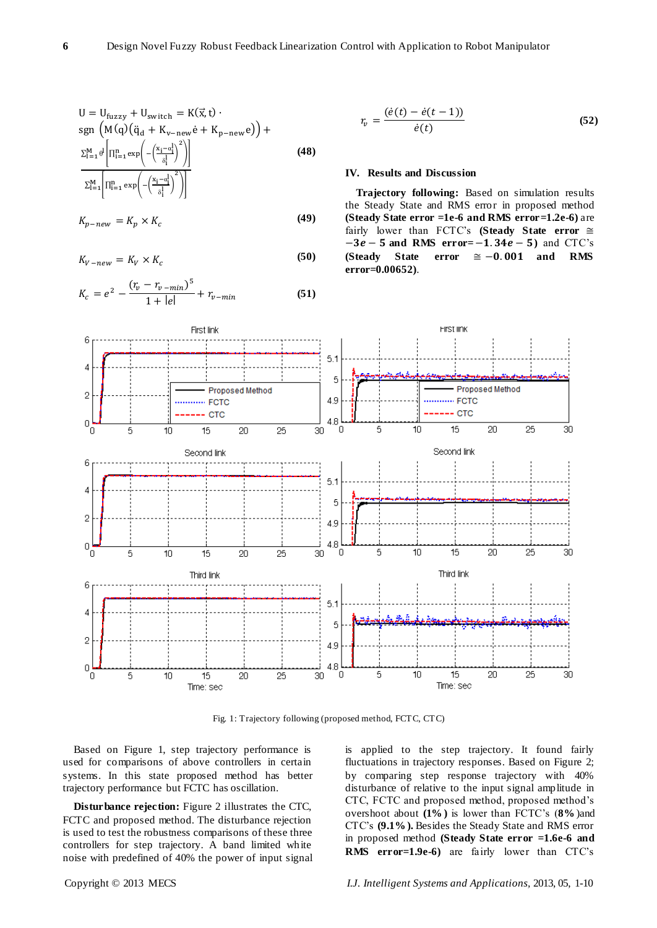$$
U = U_{\text{fuzzy}} + U_{\text{switch}} = K(\vec{x}, t) \cdot
$$
  
\nsgn  $(M(q)(\ddot{q}_d + K_{v-\text{new}}\dot{e} + K_{p-\text{new}}e)) +$   
\n
$$
\frac{\sum_{l=1}^{M} \theta^l \left[ \prod_{i=1}^{n} \exp\left(-\left(\frac{x_i - \alpha_i^l}{\delta_i^l}\right)^2\right) \right]}{\sum_{l=1}^{M} \left[ \prod_{i=1}^{n} \exp\left(-\left(\frac{x_i - \alpha_i^l}{\delta_i^l}\right)^2\right) \right]}
$$
(48)

$$
K_{p-new} = K_p \times K_c \tag{49}
$$

$$
K_{V-new} = K_V \times K_c \tag{50}
$$

$$
K_c = e^2 - \frac{(r_v - r_{v-min})^5}{1 + |e|} + r_{v-min}
$$
\n(51)

$$
r_v = \frac{\left(\dot{e}(t) - \dot{e}(t-1)\right)}{\dot{e}(t)}\tag{52}
$$

## **IV. Results and Discussion**

**Trajectory following:** Based on simulation results the Steady State and RMS error in proposed method **(Steady State error =1e-6 and RMS error=1.2e-6)** are fairly lower than FCTC's **(Steady State error**   $-3e - 5$  and RMS error= $-1.34e - 5$ ) and CTC's **(Steady State error**  $\approx -0.001$  **and RMS error=0.00652)**.



Fig. 1: Trajectory following (proposed method, FCTC, CTC)

Based on Figure 1, step trajectory performance is used for comparisons of above controllers in certain systems. In this state proposed method has better trajectory performance but FCTC has oscillation.

**Disturbance rejection:** Figure 2 illustrates the CTC, FCTC and proposed method. The disturbance rejection is used to test the robustness comparisons of these three controllers for step trajectory. A band limited white noise with predefined of 40% the power of input signal

is applied to the step trajectory. It found fairly fluctuations in trajectory responses. Based on Figure 2; by comparing step response trajectory with 40% disturbance of relative to the input signal amplitude in CTC, FCTC and proposed method, proposed method's overshoot about **(1% )** is lower than FCTC's (**8%**)and CTC's **(9.1% ).** Besides the Steady State and RMS error in proposed method **(Steady State error =1.6e-6 and RMS error=1.9e-6)** are fairly lower than CTC's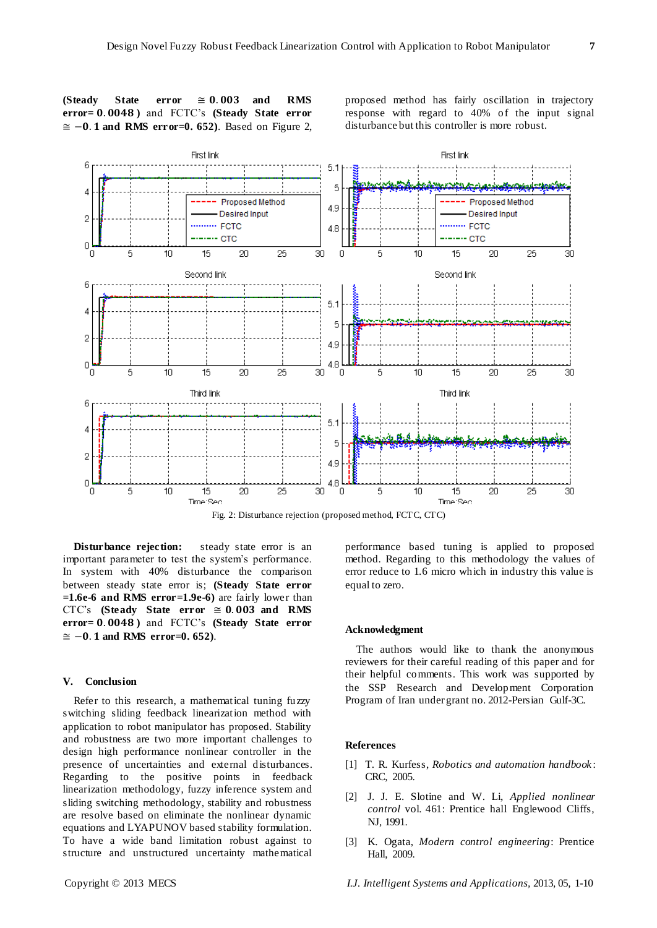**(Steady State error**  $\approx 0.003$  **and RMS error= )** and FCTC's **(Steady State error**   $\approx$  -0.1 and RMS error=0. 652). Based on Figure 2, proposed method has fairly oscillation in trajectory response with regard to 40% of the input signal disturbance but this controller is more robust.



Fig. 2: Disturbance rejection (proposed method, FCTC, CTC)

**Disturbance rejection:** steady state error is an important parameter to test the system's performance. In system with 40% disturbance the comparison between steady state error is; **(Steady State error =1.6e-6 and RMS error=1.9e-6)** are fairly lower than  $CTC's$  (Steady State error  $\approx 0.003$  and RMS **error= )** and FCTC's **(Steady State error**   $\approx -0.1$  and RMS error=0. 652).

## **V. Conclusion**

Refer to this research, a mathematical tuning fuzzy switching sliding feedback linearization method with application to robot manipulator has proposed. Stability and robustness are two more important challenges to design high performance nonlinear controller in the presence of uncertainties and external disturbances. Regarding to the positive points in feedback linearization methodology, fuzzy inference system and sliding switching methodology, stability and robustness are resolve based on eliminate the nonlinear dynamic equations and LYAPUNOV based stability formulation. To have a wide band limitation robust against to structure and unstructured uncertainty mathematical

performance based tuning is applied to proposed method. Regarding to this methodology the values of error reduce to 1.6 micro which in industry this value is equal to zero.

#### **Acknowledgment**

The authors would like to thank the anonymous reviewers for their careful reading of this paper and for their helpful comments. This work was supported by the SSP Research and Development Corporation Program of Iran under grant no. 2012-Persian Gulf-3C.

#### **References**

- [1] T. R. Kurfess, *Robotics and automation handbook* : CRC, 2005.
- [2] J. J. E. Slotine and W. Li, *Applied nonlinear control* vol. 461: Prentice hall Englewood Cliffs, NJ, 1991.
- [3] K. Ogata, *Modern control engineering*: Prentice Hall, 2009.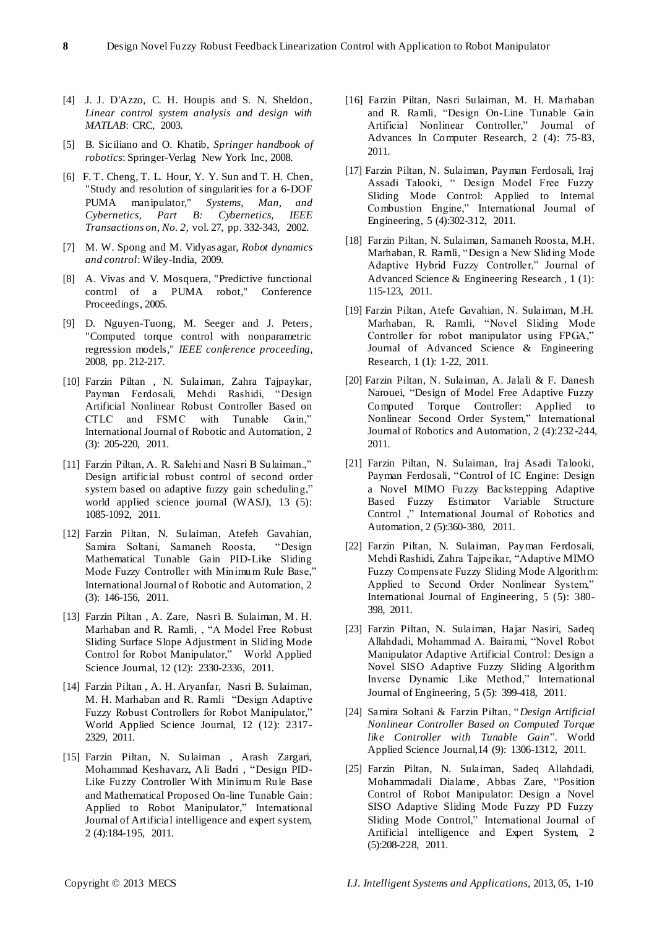- [4] J. J. D'Azzo, C. H. Houpis and S. N. Sheldon, *Linear control system analysis and design with MATLAB*: CRC, 2003.
- [5] B. Siciliano and O. Khatib, *Springer handbook of robotics*: Springer-Verlag New York Inc, 2008.
- [6] F. T. Cheng, T. L. Hour, Y. Y. Sun and T. H. Chen, "Study and resolution of singularities for a 6-DOF PUMA manipulator," *Systems, Man, and Cybernetics, Part B: Cybernetics, IEEE Transactions on, No. 2,* vol. 27, pp. 332-343, 2002.
- [7] M. W. Spong and M. Vidyasagar, *Robot dynamics and control*: Wiley-India, 2009.
- [8] A. Vivas and V. Mosquera, "Predictive functional control of a PUMA robot," Conference Proceedings, 2005.
- [9] D. Nguyen-Tuong, M. Seeger and J. Peters, "Computed torque control with nonparametric regression models," *IEEE conference proceeding,* 2008, pp. 212-217.
- [10] Farzin Piltan , N. Sulaiman, Zahra Tajpaykar, Payman Ferdosali, Mehdi Rashidi, "Design Artificial Nonlinear Robust Controller Based on CTLC and FSMC with Tunable Gain," International Journal of Robotic and Automation, 2 (3): 205-220, 2011.
- [11] Farzin Piltan, A. R. Salehi and Nasri B Sulaiman.," Design artificial robust control of second order system based on adaptive fuzzy gain scheduling," world applied science journal (WASJ), 13 (5): 1085-1092, 2011.
- [12] Farzin Piltan, N. Sulaiman, Atefeh Gavahian, Samira Soltani, Samaneh Roosta, "Design Mathematical Tunable Gain PID-Like Sliding Mode Fuzzy Controller with Minimum Rule Base," International Journal of Robotic and Automation, 2 (3): 146-156, 2011.
- [13] Farzin Piltan , A. Zare, Nasri B. Sulaiman, M. H. Marhaban and R. Ramli, , "A Model Free Robust Sliding Surface Slope Adjustment in Sliding Mode Control for Robot Manipulator," World Applied Science Journal, 12 (12): 2330-2336, 2011.
- [14] Farzin Piltan , A. H. Aryanfar, Nasri B. Sulaiman, M. H. Marhaban and R. Ramli "Design Adaptive Fuzzy Robust Controllers for Robot Manipulator," World Applied Science Journal, 12 (12): 2317- 2329, 2011.
- [15] Farzin Piltan, N. Sulaiman , Arash Zargari, Mohammad Keshavarz, Ali Badri , "Design PID-Like Fuzzy Controller With Minimum Rule Base and Mathematical Proposed On-line Tunable Gain: Applied to Robot Manipulator," International Journal of Artificial intelligence and expert system, 2 (4):184-195, 2011.
- [16] Farzin Piltan, Nasri Sulaiman, M. H. Marhaban and R. Ramli, "Design On-Line Tunable Gain Artificial Nonlinear Controller," Journal of Advances In Computer Research, 2 (4): 75-83, 2011.
- [17] Farzin Piltan, N. Sulaiman, Payman Ferdosali, Iraj Assadi Talooki, " Design Model Free Fuzzy Sliding Mode Control: Applied to Internal Combustion Engine," International Journal of Engineering, 5 (4):302-312, 2011.
- [18] Farzin Piltan, N. Sulaiman, Samaneh Roosta, M.H. Marhaban, R. Ramli, "Design a New Sliding Mode Adaptive Hybrid Fuzzy Controller," Journal of Advanced Science & Engineering Research , 1 (1): 115-123, 2011.
- [19] Farzin Piltan, Atefe Gavahian, N. Sulaiman, M.H. Marhaban, R. Ramli, "Novel Sliding Mode Controller for robot manipulator using FPGA," Journal of Advanced Science & Engineering Research, 1 (1): 1-22, 2011.
- [20] Farzin Piltan, N. Sulaiman, A. Jalali & F. Danesh Narouei, "Design of Model Free Adaptive Fuzzy Computed Torque Controller: Applied to Nonlinear Second Order System," International Journal of Robotics and Automation, 2 (4):232-244, 2011.
- [21] Farzin Piltan, N. Sulaiman, Iraj Asadi Talooki, Payman Ferdosali, "Control of IC Engine: Design a Novel MIMO Fuzzy Backstepping Adaptive Based Fuzzy Estimator Variable Structure Control ," International Journal of Robotics and Automation, 2 (5):360-380, 2011.
- [22] Farzin Piltan, N. Sulaiman, Payman Ferdosali, Mehdi Rashidi, Zahra Tajpeikar, "Adaptive MIMO Fuzzy Compensate Fuzzy Sliding Mode Algorithm: Applied to Second Order Nonlinear System," International Journal of Engineering, 5 (5): 380- 398, 2011.
- [23] Farzin Piltan, N. Sulaiman, Hajar Nasiri, Sadeq Allahdadi, Mohammad A. Bairami, "Novel Robot Manipulator Adaptive Artificial Control: Design a Novel SISO Adaptive Fuzzy Sliding Algorithm Inverse Dynamic Like Method," International Journal of Engineering, 5 (5): 399-418, 2011.
- [24] Samira Soltani & Farzin Piltan, "*Design Artificial Nonlinear Controller Based on Computed Torque like Controller with Tunable Gain*". World Applied Science Journal,14 (9): 1306-1312, 2011.
- [25] Farzin Piltan, N. Sulaiman, Sadeq Allahdadi, Mohammadali Dialame, Abbas Zare, "Position Control of Robot Manipulator: Design a Novel SISO Adaptive Sliding Mode Fuzzy PD Fuzzy Sliding Mode Control," International Journal of Artificial intelligence and Expert System, 2 (5):208-228, 2011.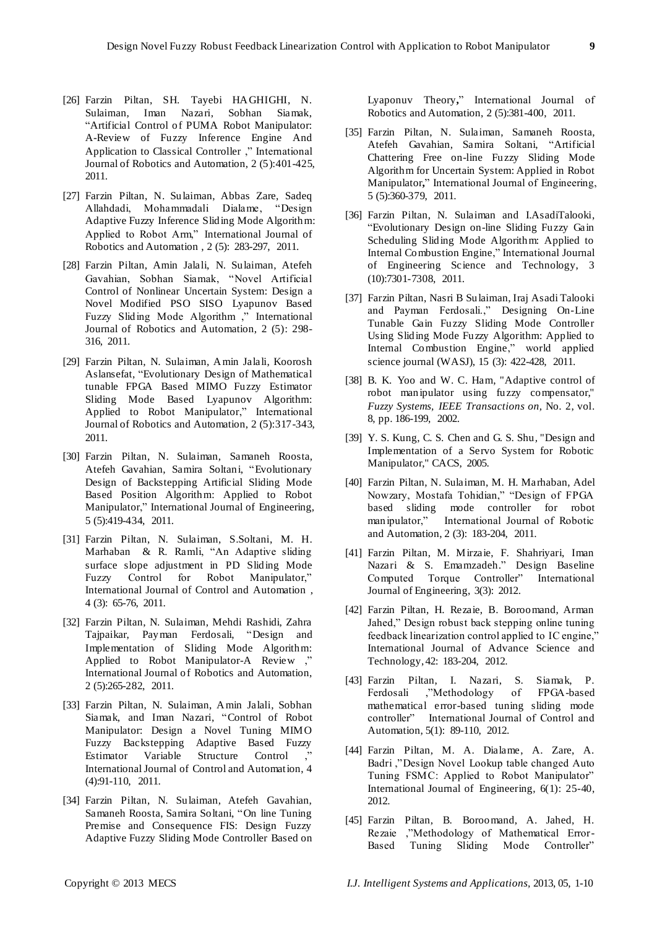- [26] Farzin Piltan, SH. Tayebi HAGHIGHI, N. Sulaiman, Iman Nazari, Sobhan Siamak, "Artificial Control of PUMA Robot Manipulator: A-Review of Fuzzy Inference Engine And Application to Classical Controller ," International Journal of Robotics and Automation, 2 (5):401-425, 2011.
- [27] Farzin Piltan, N. Sulaiman, Abbas Zare, Sadeq Allahdadi, Mohammadali Dialame, "Design Adaptive Fuzzy Inference Sliding Mode Algorithm: Applied to Robot Arm," International Journal of Robotics and Automation , 2 (5): 283-297, 2011.
- [28] Farzin Piltan, Amin Jalali, N. Sulaiman, Atefeh Gavahian, Sobhan Siamak, "Novel Artificial Control of Nonlinear Uncertain System: Design a Novel Modified PSO SISO Lyapunov Based Fuzzy Sliding Mode Algorithm ," International Journal of Robotics and Automation, 2 (5): 298- 316, 2011.
- [29] Farzin Piltan, N. Sulaiman, Amin Jalali, Koorosh Aslansefat, "Evolutionary Design of Mathematical tunable FPGA Based MIMO Fuzzy Estimator Sliding Mode Based Lyapunov Algorithm: Applied to Robot Manipulator," International Journal of Robotics and Automation, 2 (5):317-343, 2011.
- [30] Farzin Piltan, N. Sulaiman, Samaneh Roosta, Atefeh Gavahian, Samira Soltani, "Evolutionary Design of Backstepping Artificial Sliding Mode Based Position Algorithm: Applied to Robot Manipulator," International Journal of Engineering, 5 (5):419-434, 2011.
- [31] Farzin Piltan, N. Sulaiman, S.Soltani, M. H. Marhaban & R. Ramli, "An Adaptive sliding surface slope adjustment in PD Sliding Mode Fuzzy Control for Robot Manipulator," International Journal of Control and Automation , 4 (3): 65-76, 2011.
- [32] Farzin Piltan, N. Sulaiman, Mehdi Rashidi, Zahra Tajpaikar, Payman Ferdosali, "Design and Implementation of Sliding Mode Algorithm: Applied to Robot Manipulator-A Review ," International Journal of Robotics and Automation, 2 (5):265-282, 2011.
- [33] Farzin Piltan, N. Sulaiman, Amin Jalali, Sobhan Siamak, and Iman Nazari, "Control of Robot Manipulator: Design a Novel Tuning MIMO Fuzzy Backstepping Adaptive Based Fuzzy Estimator Variable Structure Control International Journal of Control and Automation, 4 (4):91-110, 2011.
- [34] Farzin Piltan, N. Sulaiman, Atefeh Gavahian, Samaneh Roosta, Samira Soltani, ["On line Tuning](http://www.cscjournals.org/csc/manuscriptinfo.php?ManuscriptCode=67.68.76.59.39.47.49.104&JCode=IJRA&EJCode=66.67.75.58.105&Volume=2&Issue=5)  [Premise and Consequence FIS: Design Fuzzy](http://www.cscjournals.org/csc/manuscriptinfo.php?ManuscriptCode=67.68.76.59.39.47.49.104&JCode=IJRA&EJCode=66.67.75.58.105&Volume=2&Issue=5)  [Adaptive Fuzzy Sliding Mode Controller Based on](http://www.cscjournals.org/csc/manuscriptinfo.php?ManuscriptCode=67.68.76.59.39.47.49.104&JCode=IJRA&EJCode=66.67.75.58.105&Volume=2&Issue=5)

[Lyaponuv Theory](http://www.cscjournals.org/csc/manuscriptinfo.php?ManuscriptCode=67.68.76.59.39.47.49.104&JCode=IJRA&EJCode=66.67.75.58.105&Volume=2&Issue=5)**,**" International Journal of Robotics and Automation, 2 (5):381-400, 2011.

- [35] Farzin Piltan, N. Sulaiman, Samaneh Roosta, Atefeh Gavahian, Samira Soltani, ["Artificial](http://www.cscjournals.org/csc/manuscriptinfo.php?ManuscriptCode=68.69.64.40.46.44.44.103&JCode=IJE&EJCode=70.71.66.101&Volume=5&Issue=5)  [Chattering Free on-line Fuzzy Sliding Mode](http://www.cscjournals.org/csc/manuscriptinfo.php?ManuscriptCode=68.69.64.40.46.44.44.103&JCode=IJE&EJCode=70.71.66.101&Volume=5&Issue=5)  [Algorithm for Uncertain System: Applied in Robot](http://www.cscjournals.org/csc/manuscriptinfo.php?ManuscriptCode=68.69.64.40.46.44.44.103&JCode=IJE&EJCode=70.71.66.101&Volume=5&Issue=5)  [Manipulator](http://www.cscjournals.org/csc/manuscriptinfo.php?ManuscriptCode=68.69.64.40.46.44.44.103&JCode=IJE&EJCode=70.71.66.101&Volume=5&Issue=5)**,**" International Journal of Engineering, 5 (5):360-379, 2011.
- [36] Farzin Piltan, N. Sulaiman and I.AsadiTalooki, "Evolutionary Design on-line Sliding Fuzzy Gain Scheduling Sliding Mode Algorithm: Applied to Internal Combustion Engine," International Journal of Engineering Science and Technology, 3 (10):7301-7308, 2011.
- [37] Farzin Piltan, Nasri B Sulaiman, Iraj Asadi Talooki and Payman Ferdosali.," Designing On-Line Tunable Gain Fuzzy Sliding Mode Controller Using Sliding Mode Fuzzy Algorithm: Applied to Internal Combustion Engine," world applied science journal (WASJ), 15 (3): 422-428, 2011.
- [38] B. K. Yoo and W. C. Ham, "Adaptive control of robot manipulator using fuzzy compensator," *Fuzzy Systems, IEEE Transactions on,* No. 2, vol. 8, pp. 186-199, 2002.
- [39] Y. S. Kung, C. S. Chen and G. S. Shu*,* "Design and Implementation of a Servo System for Robotic Manipulator," CACS, 2005.
- [40] Farzin Piltan, N. Sulaiman, M. H. Marhaban, Adel Nowzary, Mostafa Tohidian," "Design of FPGA based sliding mode controller for robot manipulator," International Journal of Robotic and Automation, 2 (3): 183-204, 2011.
- [41] Farzin Piltan, M. Mirzaie, F. Shahriyari, Iman Nazari & S. Emamzadeh." Design Baseline Computed Torque Controller" International Journal of Engineering, 3(3): 2012.
- [42] Farzin Piltan, H. Rezaie, B. Boroomand, Arman Jahed," Design robust back stepping online tuning feedback linearization control applied to IC engine, International Journal of Advance Science and Technology, 42: 183-204, 2012.
- [43] Farzin Piltan, I. Nazari, S. Siamak, P. Ferdosali ,"Methodology of FPGA-based mathematical error-based tuning sliding mode controller" International Journal of Control and Automation, 5(1): 89-110, 2012.
- [44] Farzin Piltan, M. A. Dialame, A. Zare, A. Badri ,"Design Novel Lookup table changed Auto Tuning FSMC: Applied to Robot Manipulator" International Journal of Engineering, 6(1): 25-40, 2012.
- [45] Farzin Piltan, B. Boroomand, A. Jahed, H. Rezaie ,"Methodology of Mathematical Error-Based Tuning Sliding Mode Controller"